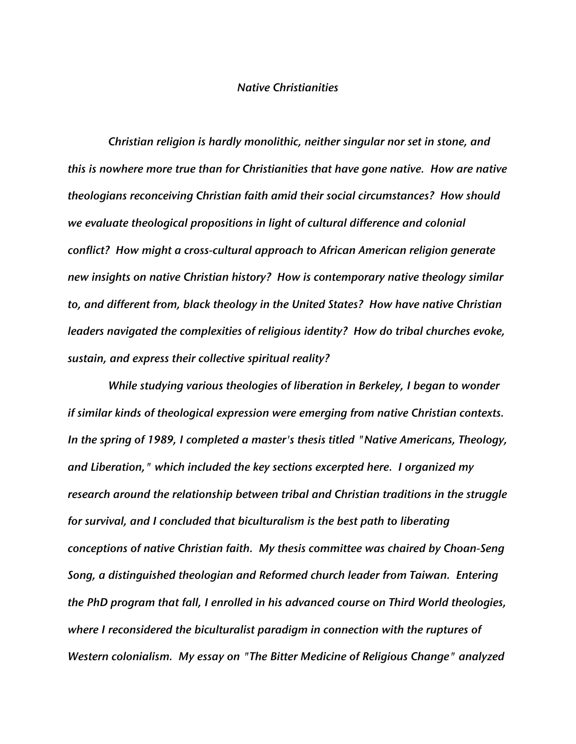## *Native Christianities*

*Christian religion is hardly monolithic, neither singular nor set in stone, and this is nowhere more true than for Christianities that have gone native. How are native theologians reconceiving Christian faith amid their social circumstances? How should we evaluate theological propositions in light of cultural difference and colonial conflict? How might a cross-cultural approach to African American religion generate new insights on native Christian history? How is contemporary native theology similar to, and different from, black theology in the United States? How have native Christian leaders navigated the complexities of religious identity? How do tribal churches evoke, sustain, and express their collective spiritual reality?*

*While studying various theologies of liberation in Berkeley, I began to wonder if similar kinds of theological expression were emerging from native Christian contexts. In the spring of 1989, I completed a master's thesis titled "Native Americans, Theology, and Liberation," which included the key sections excerpted here. I organized my research around the relationship between tribal and Christian traditions in the struggle for survival, and I concluded that biculturalism is the best path to liberating conceptions of native Christian faith. My thesis committee was chaired by Choan-Seng Song, a distinguished theologian and Reformed church leader from Taiwan. Entering the PhD program that fall, I enrolled in his advanced course on Third World theologies, where I reconsidered the biculturalist paradigm in connection with the ruptures of Western colonialism. My essay on "The Bitter Medicine of Religious Change" analyzed*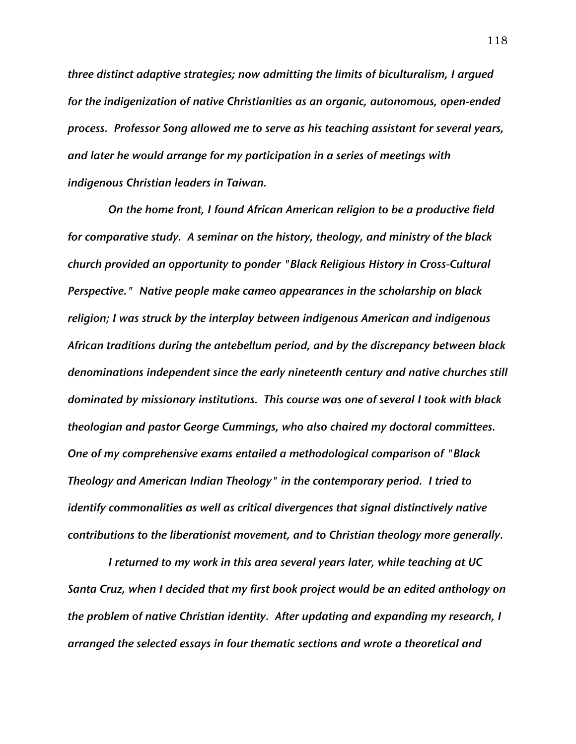*three distinct adaptive strategies; now admitting the limits of biculturalism, I argued for the indigenization of native Christianities as an organic, autonomous, open-ended process. Professor Song allowed me to serve as his teaching assistant for several years, and later he would arrange for my participation in a series of meetings with indigenous Christian leaders in Taiwan.*

*On the home front, I found African American religion to be a productive field for comparative study. A seminar on the history, theology, and ministry of the black church provided an opportunity to ponder "Black Religious History in Cross-Cultural Perspective." Native people make cameo appearances in the scholarship on black religion; I was struck by the interplay between indigenous American and indigenous African traditions during the antebellum period, and by the discrepancy between black denominations independent since the early nineteenth century and native churches still dominated by missionary institutions. This course was one of several I took with black theologian and pastor George Cummings, who also chaired my doctoral committees. One of my comprehensive exams entailed a methodological comparison of "Black Theology and American Indian Theology" in the contemporary period. I tried to identify commonalities as well as critical divergences that signal distinctively native contributions to the liberationist movement, and to Christian theology more generally.*

*I returned to my work in this area several years later, while teaching at UC Santa Cruz, when I decided that my first book project would be an edited anthology on the problem of native Christian identity. After updating and expanding my research, I arranged the selected essays in four thematic sections and wrote a theoretical and*